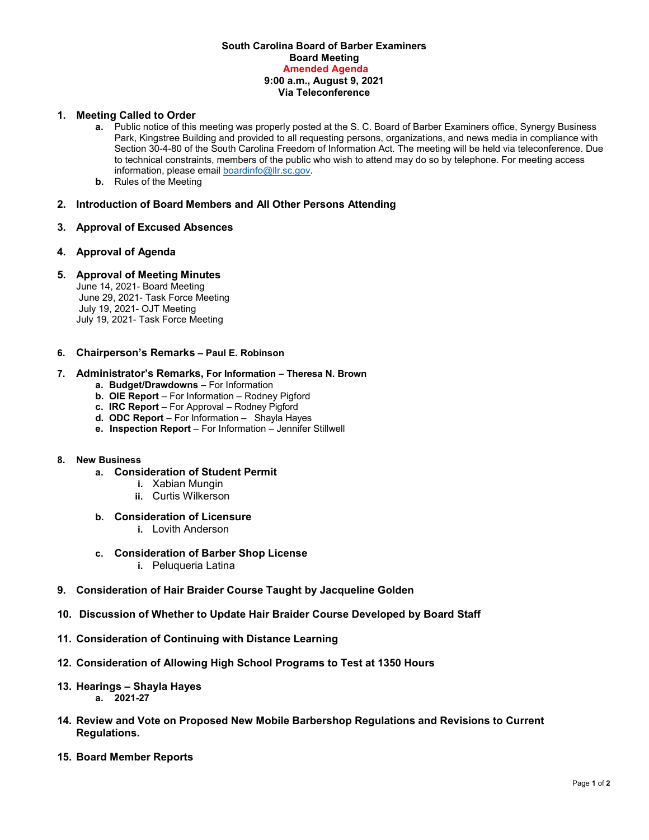### **South Carolina Board of Barber Examiners Board Meeting Amended Agenda 9:00 a.m., August 9, 2021 Via Teleconference**

# **1. Meeting Called to Order**

- **a.** Public notice of this meeting was properly posted at the S. C. Board of Barber Examiners office, Synergy Business Park, Kingstree Building and provided to all requesting persons, organizations, and news media in compliance with Section 30-4-80 of the South Carolina Freedom of Information Act. The meeting will be held via teleconference. Due to technical constraints, members of the public who wish to attend may do so by telephone. For meeting access information, please emai[l boardinfo@llr.sc.gov.](mailto:boardinfo@llr.sc.gov)
- **b.** Rules of the Meeting
- **2. Introduction of Board Members and All Other Persons Attending**
- **3. Approval of Excused Absences**

## **4. Approval of Agenda**

## **5. Approval of Meeting Minutes**

June 14, 2021- Board Meeting June 29, 2021- Task Force Meeting July 19, 2021- OJT Meeting July 19, 2021- Task Force Meeting

#### **6. Chairperson's Remarks – Paul E. Robinson**

#### **7. Administrator's Remarks, For Information – Theresa N. Brown**

- **a. Budget/Drawdowns** For Information
- **b. OIE Report**  For Information Rodney Pigford
- **c. IRC Report**  For Approval Rodney Pigford
- **d. ODC Report**  For Information Shayla Hayes
- **e. Inspection Report** For Information Jennifer Stillwell

# **8. New Business**

- **a. Consideration of Student Permit** 
	- **i.** Xabian Mungin
	- **ii.** Curtis Wilkerson
- **b. Consideration of Licensure**
	- **i.** Lovith Anderson
- **c. Consideration of Barber Shop License** 
	- **i.** Peluqueria Latina
- **9. Consideration of Hair Braider Course Taught by Jacqueline Golden**
- **10. Discussion of Whether to Update Hair Braider Course Developed by Board Staff**
- **11. Consideration of Continuing with Distance Learning**
- **12. Consideration of Allowing High School Programs to Test at 1350 Hours**
- **13. Hearings – Shayla Hayes a. 2021-27**
- **14. Review and Vote on Proposed New Mobile Barbershop Regulations and Revisions to Current Regulations.**
- **15. Board Member Reports**